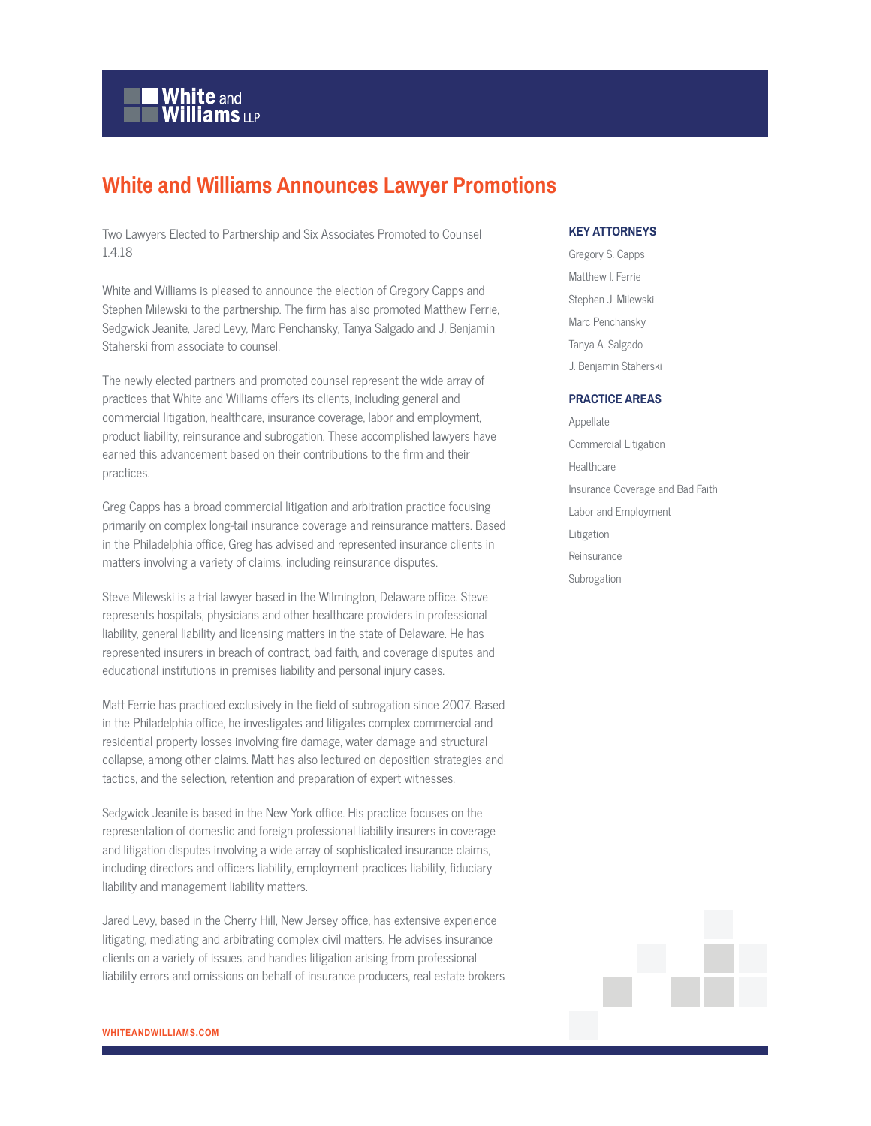

## **White and Williams Announces Lawyer Promotions**

Two Lawyers Elected to Partnership and Six Associates Promoted to Counsel 1.4.18

White and Williams is pleased to announce the election of Gregory Capps and Stephen Milewski to the partnership. The firm has also promoted Matthew Ferrie, Sedgwick Jeanite, Jared Levy, Marc Penchansky, Tanya Salgado and J. Benjamin Staherski from associate to counsel.

The newly elected partners and promoted counsel represent the wide array of practices that White and Williams offers its clients, including general and commercial litigation, healthcare, insurance coverage, labor and employment, product liability, reinsurance and subrogation. These accomplished lawyers have earned this advancement based on their contributions to the firm and their practices.

Greg Capps has a broad commercial litigation and arbitration practice focusing primarily on complex long-tail insurance coverage and reinsurance matters. Based in the Philadelphia office, Greg has advised and represented insurance clients in matters involving a variety of claims, including reinsurance disputes.

Steve Milewski is a trial lawyer based in the Wilmington, Delaware office. Steve represents hospitals, physicians and other healthcare providers in professional liability, general liability and licensing matters in the state of Delaware. He has represented insurers in breach of contract, bad faith, and coverage disputes and educational institutions in premises liability and personal injury cases.

Matt Ferrie has practiced exclusively in the field of subrogation since 2007. Based in the Philadelphia office, he investigates and litigates complex commercial and residential property losses involving fire damage, water damage and structural collapse, among other claims. Matt has also lectured on deposition strategies and tactics, and the selection, retention and preparation of expert witnesses.

Sedgwick Jeanite is based in the New York office. His practice focuses on the representation of domestic and foreign professional liability insurers in coverage and litigation disputes involving a wide array of sophisticated insurance claims, including directors and officers liability, employment practices liability, fiduciary liability and management liability matters.

Jared Levy, based in the Cherry Hill, New Jersey office, has extensive experience litigating, mediating and arbitrating complex civil matters. He advises insurance clients on a variety of issues, and handles litigation arising from professional liability errors and omissions on behalf of insurance producers, real estate brokers

## **KEY ATTORNEYS**

Gregory S. Capps Matthew I. Ferrie Stephen J. Milewski Marc Penchansky Tanya A. Salgado J. Benjamin Staherski

## **PRACTICE AREAS**

Appellate Commercial Litigation Healthcare Insurance Coverage and Bad Faith Labor and Employment Litigation Reinsurance Subrogation